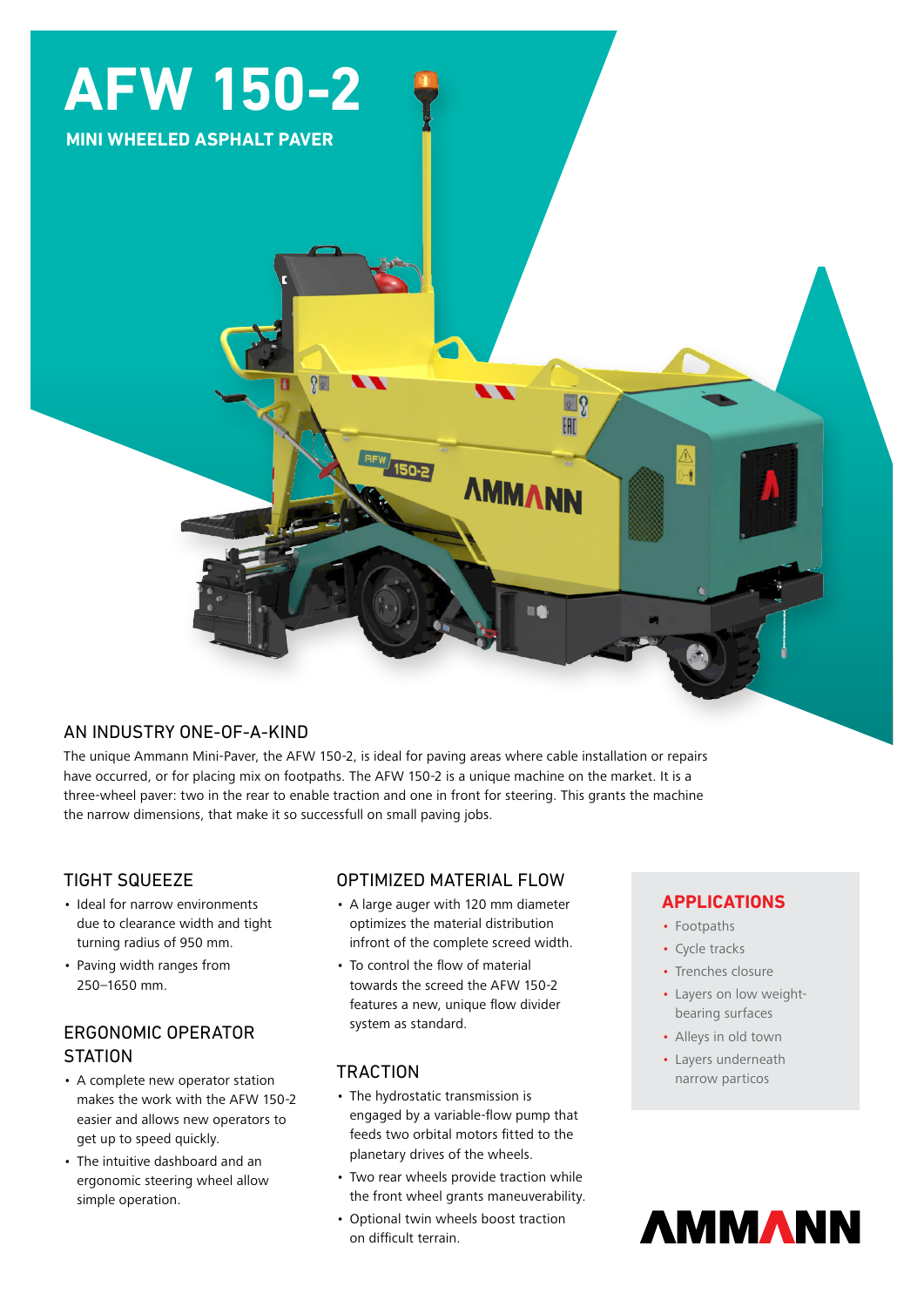

# AN INDUSTRY ONE-OF-A-KIND

The unique Ammann Mini-Paver, the AFW 150-2, is ideal for paving areas where cable installation or repairs have occurred, or for placing mix on footpaths. The AFW 150-2 is a unique machine on the market. It is a three-wheel paver: two in the rear to enable traction and one in front for steering. This grants the machine the narrow dimensions, that make it so successfull on small paving jobs.

### TIGHT SQUEEZE

- Ideal for narrow environments due to clearance width and tight turning radius of 950 mm.
- Paving width ranges from 250–1650 mm.

## ERGONOMIC OPERATOR **STATION**

- A complete new operator station makes the work with the AFW 150-2 easier and allows new operators to get up to speed quickly.
- The intuitive dashboard and an ergonomic steering wheel allow simple operation.

# OPTIMIZED MATERIAL FLOW

- A large auger with 120 mm diameter optimizes the material distribution infront of the complete screed width.
- To control the flow of material towards the screed the AFW 150-2 features a new, unique flow divider system as standard.

### **TRACTION**

- The hydrostatic transmission is engaged by a variable-flow pump that feeds two orbital motors fitted to the planetary drives of the wheels.
- Two rear wheels provide traction while the front wheel grants maneuverability.
- Optional twin wheels boost traction on difficult terrain.

# **APPLICATIONS**

- Footpaths
- Cycle tracks
- Trenches closure
- Layers on low weightbearing surfaces
- Alleys in old town
- Layers underneath narrow particos